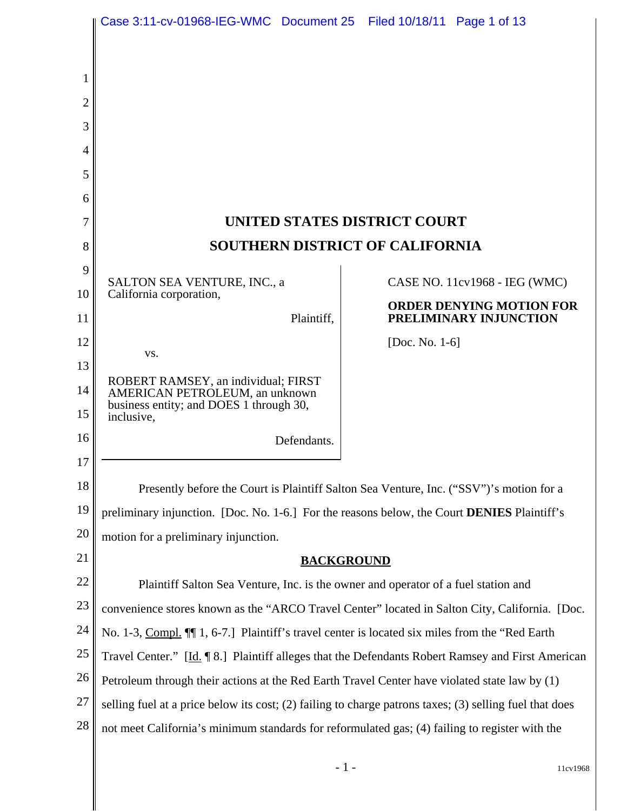|          | Case 3:11-cv-01968-IEG-WMC Document 25 Filed 10/18/11 Page 1 of 13                                                                                                                                   |                                                           |  |
|----------|------------------------------------------------------------------------------------------------------------------------------------------------------------------------------------------------------|-----------------------------------------------------------|--|
|          |                                                                                                                                                                                                      |                                                           |  |
| 1        |                                                                                                                                                                                                      |                                                           |  |
| 2        |                                                                                                                                                                                                      |                                                           |  |
| 3        |                                                                                                                                                                                                      |                                                           |  |
| 4        |                                                                                                                                                                                                      |                                                           |  |
| 5        |                                                                                                                                                                                                      |                                                           |  |
| 6        |                                                                                                                                                                                                      |                                                           |  |
| 7        | UNITED STATES DISTRICT COURT                                                                                                                                                                         |                                                           |  |
| 8        | <b>SOUTHERN DISTRICT OF CALIFORNIA</b>                                                                                                                                                               |                                                           |  |
| 9        |                                                                                                                                                                                                      |                                                           |  |
| 10       | SALTON SEA VENTURE, INC., a<br>California corporation,                                                                                                                                               | CASE NO. 11cv1968 - IEG (WMC)                             |  |
| 11       | Plaintiff,                                                                                                                                                                                           | <b>ORDER DENYING MOTION FOR</b><br>PRELIMINARY INJUNCTION |  |
| 12       | VS.                                                                                                                                                                                                  | [Doc. No. $1-6$ ]                                         |  |
| 13       |                                                                                                                                                                                                      |                                                           |  |
| 14       | ROBERT RAMSEY, an individual; FIRST<br>AMERICAN PETROLEUM, an unknown<br>business entity; and DOES 1 through 30,                                                                                     |                                                           |  |
| 15<br>16 | inclusive,                                                                                                                                                                                           |                                                           |  |
| 17       | Defendants.                                                                                                                                                                                          |                                                           |  |
| 18       |                                                                                                                                                                                                      |                                                           |  |
| 19       | Presently before the Court is Plaintiff Salton Sea Venture, Inc. ("SSV")'s motion for a<br>preliminary injunction. [Doc. No. 1-6.] For the reasons below, the Court DENIES Plaintiff's               |                                                           |  |
| 20       |                                                                                                                                                                                                      |                                                           |  |
| 21       | motion for a preliminary injunction.                                                                                                                                                                 |                                                           |  |
| 22       | <b>BACKGROUND</b>                                                                                                                                                                                    |                                                           |  |
| 23       | Plaintiff Salton Sea Venture, Inc. is the owner and operator of a fuel station and<br>convenience stores known as the "ARCO Travel Center" located in Salton City, California. [Doc.                 |                                                           |  |
| 24       |                                                                                                                                                                                                      |                                                           |  |
| 25       | No. 1-3, Compl. II 1, 6-7.] Plaintiff's travel center is located six miles from the "Red Earth"<br>Travel Center." [Id.   8.] Plaintiff alleges that the Defendants Robert Ramsey and First American |                                                           |  |
| 26       | Petroleum through their actions at the Red Earth Travel Center have violated state law by (1)                                                                                                        |                                                           |  |
| 27       | selling fuel at a price below its cost; (2) failing to charge patrons taxes; (3) selling fuel that does                                                                                              |                                                           |  |
| 28       | not meet California's minimum standards for reformulated gas; (4) failing to register with the                                                                                                       |                                                           |  |
|          |                                                                                                                                                                                                      |                                                           |  |

- 1 - 11cv1968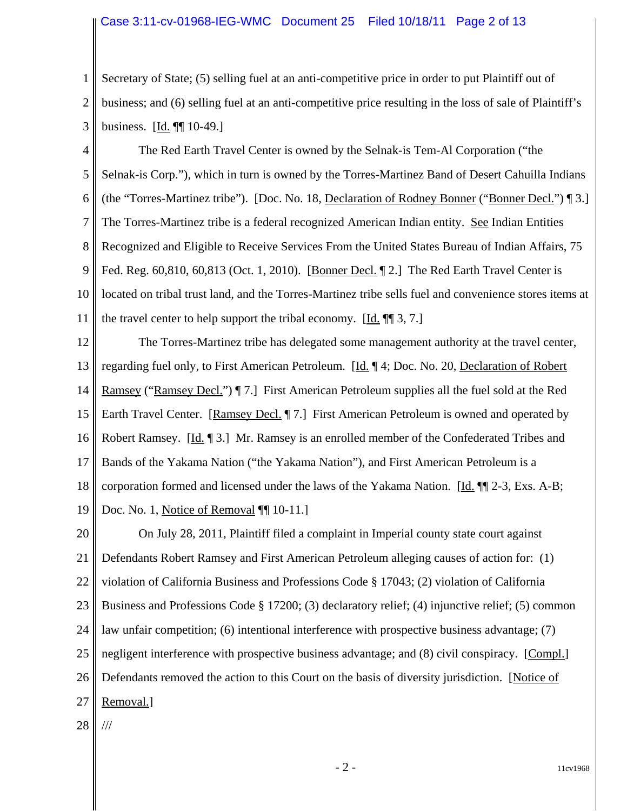### Case 3:11-cv-01968-IEG-WMC Document 25 Filed 10/18/11 Page 2 of 13

1 2 3 Secretary of State; (5) selling fuel at an anti-competitive price in order to put Plaintiff out of business; and (6) selling fuel at an anti-competitive price resulting in the loss of sale of Plaintiff's business. [Id. ¶¶ 10-49.]

4 5 6 7 8 9 10 11 The Red Earth Travel Center is owned by the Selnak-is Tem-Al Corporation ("the Selnak-is Corp."), which in turn is owned by the Torres-Martinez Band of Desert Cahuilla Indians (the "Torres-Martinez tribe"). [Doc. No. 18, Declaration of Rodney Bonner ("Bonner Decl.") ¶ 3.] The Torres-Martinez tribe is a federal recognized American Indian entity. See Indian Entities Recognized and Eligible to Receive Services From the United States Bureau of Indian Affairs, 75 Fed. Reg. 60,810, 60,813 (Oct. 1, 2010). [Bonner Decl. ¶ 2.] The Red Earth Travel Center is located on tribal trust land, and the Torres-Martinez tribe sells fuel and convenience stores items at the travel center to help support the tribal economy. [Id. ¶¶ 3, 7.]

12 13 14 15 16 17 18 19 The Torres-Martinez tribe has delegated some management authority at the travel center, regarding fuel only, to First American Petroleum. [Id. ¶ 4; Doc. No. 20, Declaration of Robert Ramsey ("Ramsey Decl.") ¶ 7.] First American Petroleum supplies all the fuel sold at the Red Earth Travel Center. [Ramsey Decl. ¶ 7.] First American Petroleum is owned and operated by Robert Ramsey. [Id. ¶ 3.] Mr. Ramsey is an enrolled member of the Confederated Tribes and Bands of the Yakama Nation ("the Yakama Nation"), and First American Petroleum is a corporation formed and licensed under the laws of the Yakama Nation. [Id. ¶¶ 2-3, Exs. A-B; Doc. No. 1, Notice of Removal ¶[ 10-11.]

20 21 22 23 24 25 26 27 On July 28, 2011, Plaintiff filed a complaint in Imperial county state court against Defendants Robert Ramsey and First American Petroleum alleging causes of action for: (1) violation of California Business and Professions Code § 17043; (2) violation of California Business and Professions Code § 17200; (3) declaratory relief; (4) injunctive relief; (5) common law unfair competition; (6) intentional interference with prospective business advantage; (7) negligent interference with prospective business advantage; and (8) civil conspiracy. [Compl.] Defendants removed the action to this Court on the basis of diversity jurisdiction. [Notice of Removal.]

28 ///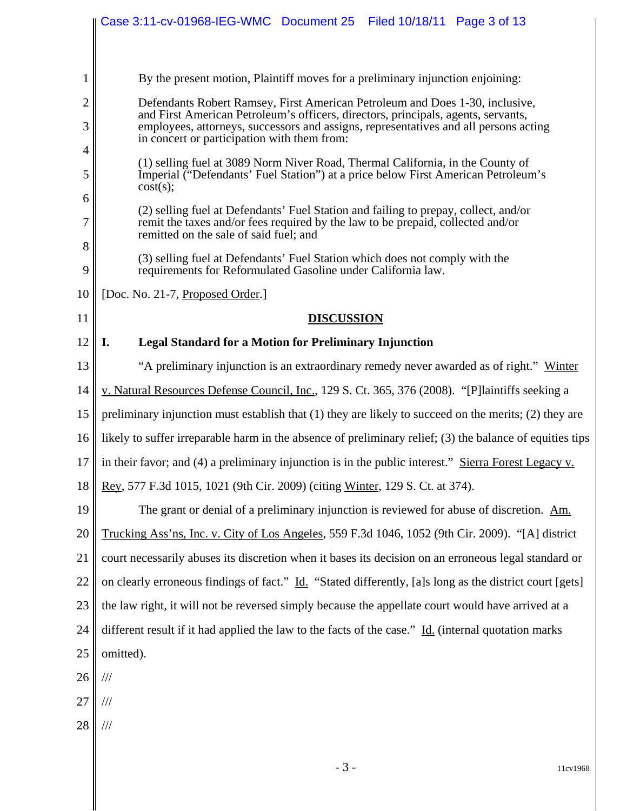|                     | Case 3:11-cv-01968-IEG-WMC Document 25 Filed 10/18/11 Page 3 of 13                                                                                                                                                                                                                                       |  |  |
|---------------------|----------------------------------------------------------------------------------------------------------------------------------------------------------------------------------------------------------------------------------------------------------------------------------------------------------|--|--|
|                     |                                                                                                                                                                                                                                                                                                          |  |  |
| 1                   | By the present motion, Plaintiff moves for a preliminary injunction enjoining:                                                                                                                                                                                                                           |  |  |
| $\overline{2}$<br>3 | Defendants Robert Ramsey, First American Petroleum and Does 1-30, inclusive,<br>and First American Petroleum's officers, directors, principals, agents, servants,<br>employees, attorneys, successors and assigns, representatives and all persons acting<br>in concert or participation with them from: |  |  |
| 4                   |                                                                                                                                                                                                                                                                                                          |  |  |
| 5                   | (1) selling fuel at 3089 Norm Niver Road, Thermal California, in the County of<br>Imperial ("Defendants' Fuel Station") at a price below First American Petroleum's<br>cost(s);                                                                                                                          |  |  |
| 6<br>7              | (2) selling fuel at Defendants' Fuel Station and failing to prepay, collect, and/or<br>remit the taxes and/or fees required by the law to be prepaid, collected and/or<br>remitted on the sale of said fuel; and                                                                                         |  |  |
| 8<br>9              | (3) selling fuel at Defendants' Fuel Station which does not comply with the<br>requirements for Reformulated Gasoline under California law.                                                                                                                                                              |  |  |
| 10                  | [Doc. No. 21-7, Proposed Order.]                                                                                                                                                                                                                                                                         |  |  |
| 11                  | <b>DISCUSSION</b>                                                                                                                                                                                                                                                                                        |  |  |
| 12                  | <b>Legal Standard for a Motion for Preliminary Injunction</b><br>I.                                                                                                                                                                                                                                      |  |  |
| 13                  | "A preliminary injunction is an extraordinary remedy never awarded as of right." Winter                                                                                                                                                                                                                  |  |  |
| 14                  | v. Natural Resources Defense Council, Inc., 129 S. Ct. 365, 376 (2008). "[P]laintiffs seeking a                                                                                                                                                                                                          |  |  |
| 15                  | preliminary injunction must establish that $(1)$ they are likely to succeed on the merits; $(2)$ they are                                                                                                                                                                                                |  |  |
| 16                  | likely to suffer irreparable harm in the absence of preliminary relief; (3) the balance of equities tips                                                                                                                                                                                                 |  |  |
| 17                  | in their favor; and (4) a preliminary injunction is in the public interest." Sierra Forest Legacy v.                                                                                                                                                                                                     |  |  |
| 18                  | Rey, 577 F.3d 1015, 1021 (9th Cir. 2009) (citing Winter, 129 S. Ct. at 374).                                                                                                                                                                                                                             |  |  |
| 19                  | The grant or denial of a preliminary injunction is reviewed for abuse of discretion. Am.                                                                                                                                                                                                                 |  |  |
| 20                  | Trucking Ass'ns, Inc. v. City of Los Angeles, 559 F.3d 1046, 1052 (9th Cir. 2009). "[A] district                                                                                                                                                                                                         |  |  |
| 21                  | court necessarily abuses its discretion when it bases its decision on an erroneous legal standard or                                                                                                                                                                                                     |  |  |
| 22                  | on clearly erroneous findings of fact." Id. "Stated differently, [a]s long as the district court [gets]                                                                                                                                                                                                  |  |  |
| 23                  | the law right, it will not be reversed simply because the appellate court would have arrived at a                                                                                                                                                                                                        |  |  |
| 24                  | different result if it had applied the law to the facts of the case." Id. (internal quotation marks                                                                                                                                                                                                      |  |  |
| 25                  | omitted).                                                                                                                                                                                                                                                                                                |  |  |
| 26                  | $\frac{1}{1}$                                                                                                                                                                                                                                                                                            |  |  |
| 27                  | ///                                                                                                                                                                                                                                                                                                      |  |  |
| 28                  | $/\!/ \!/$                                                                                                                                                                                                                                                                                               |  |  |
|                     |                                                                                                                                                                                                                                                                                                          |  |  |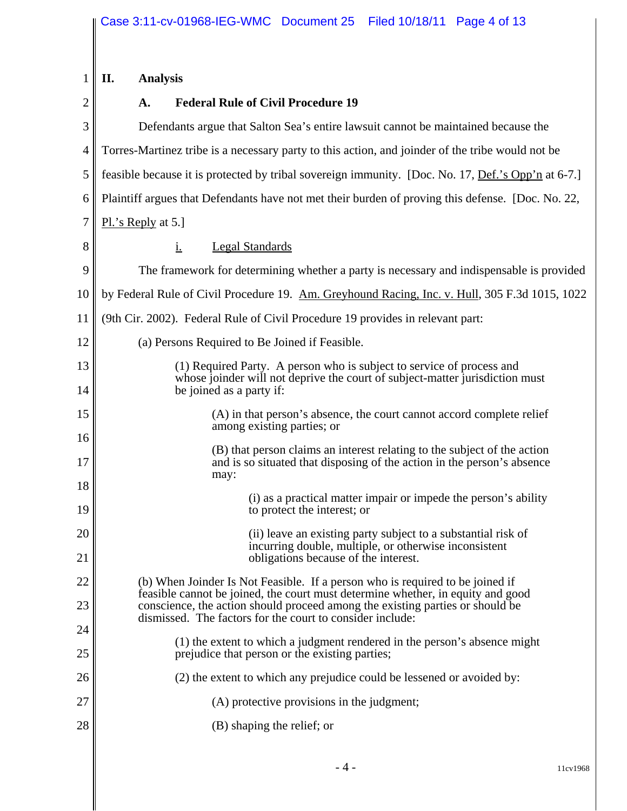| 1              | II.<br><b>Analysis</b>                                                                                                                                           |  |
|----------------|------------------------------------------------------------------------------------------------------------------------------------------------------------------|--|
| $\overline{2}$ | <b>Federal Rule of Civil Procedure 19</b><br>A.                                                                                                                  |  |
| 3              | Defendants argue that Salton Sea's entire lawsuit cannot be maintained because the                                                                               |  |
| $\overline{4}$ | Torres-Martinez tribe is a necessary party to this action, and joinder of the tribe would not be                                                                 |  |
| 5              | feasible because it is protected by tribal sovereign immunity. [Doc. No. 17, Def.'s Opp'n at 6-7.]                                                               |  |
| 6              | Plaintiff argues that Defendants have not met their burden of proving this defense. [Doc. No. 22,                                                                |  |
| 7              | $PL$ 's Reply at 5.]                                                                                                                                             |  |
| 8              | <b>Legal Standards</b><br><u>i.</u>                                                                                                                              |  |
| 9              | The framework for determining whether a party is necessary and indispensable is provided                                                                         |  |
| 10             | by Federal Rule of Civil Procedure 19. Am. Greyhound Racing, Inc. v. Hull, 305 F.3d 1015, 1022                                                                   |  |
| 11             | (9th Cir. 2002). Federal Rule of Civil Procedure 19 provides in relevant part:                                                                                   |  |
| 12             | (a) Persons Required to Be Joined if Feasible.                                                                                                                   |  |
| 13             | (1) Required Party. A person who is subject to service of process and<br>whose joinder will not deprive the court of subject-matter jurisdiction must            |  |
| 14             | be joined as a party if:                                                                                                                                         |  |
| 15             | (A) in that person's absence, the court cannot accord complete relief<br>among existing parties; or                                                              |  |
| 16<br>17       | (B) that person claims an interest relating to the subject of the action<br>and is so situated that disposing of the action in the person's absence              |  |
| 18             | may:                                                                                                                                                             |  |
| 19             | (i) as a practical matter impair or impede the person's ability<br>to protect the interest; or                                                                   |  |
| 20             | (ii) leave an existing party subject to a substantial risk of<br>incurring double, multiple, or otherwise inconsistent                                           |  |
| 21             | obligations because of the interest.                                                                                                                             |  |
| 22             | (b) When Joinder Is Not Feasible. If a person who is required to be joined if<br>feasible cannot be joined, the court must determine whether, in equity and good |  |
| 23             | conscience, the action should proceed among the existing parties or should be<br>dismissed. The factors for the court to consider include:                       |  |
| 24             | (1) the extent to which a judgment rendered in the person's absence might                                                                                        |  |
| 25             | prejudice that person or the existing parties;                                                                                                                   |  |
| 26             | (2) the extent to which any prejudice could be lessened or avoided by:                                                                                           |  |
| 27             | (A) protective provisions in the judgment;                                                                                                                       |  |
| 28             | (B) shaping the relief; or                                                                                                                                       |  |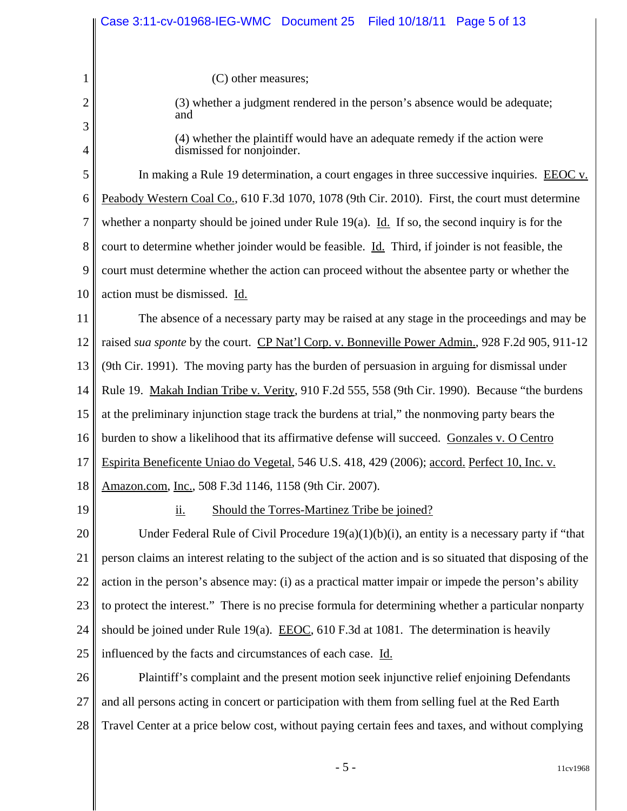|                | Case 3:11-cv-01968-IEG-WMC Document 25    Filed 10/18/11    Page 5 of 13                                 |  |  |
|----------------|----------------------------------------------------------------------------------------------------------|--|--|
| 1              | (C) other measures;                                                                                      |  |  |
| $\overline{2}$ | (3) whether a judgment rendered in the person's absence would be adequate;                               |  |  |
| 3              | and                                                                                                      |  |  |
| $\overline{4}$ | (4) whether the plaintiff would have an adequate remedy if the action were<br>dismissed for nonjoinder.  |  |  |
| 5              | In making a Rule 19 determination, a court engages in three successive inquiries. EEOC v.                |  |  |
| 6              | Peabody Western Coal Co., 610 F.3d 1070, 1078 (9th Cir. 2010). First, the court must determine           |  |  |
| 7              | whether a nonparty should be joined under Rule $19(a)$ . Id. If so, the second inquiry is for the        |  |  |
| 8              | court to determine whether joinder would be feasible. Id. Third, if joinder is not feasible, the         |  |  |
| 9              | court must determine whether the action can proceed without the absentee party or whether the            |  |  |
| 10             | action must be dismissed. Id.                                                                            |  |  |
| 11             | The absence of a necessary party may be raised at any stage in the proceedings and may be                |  |  |
| 12             | raised sua sponte by the court. CP Nat'l Corp. v. Bonneville Power Admin., 928 F.2d 905, 911-12          |  |  |
| 13             | (9th Cir. 1991). The moving party has the burden of persuasion in arguing for dismissal under            |  |  |
| 14             | Rule 19. Makah Indian Tribe v. Verity, 910 F.2d 555, 558 (9th Cir. 1990). Because "the burdens"          |  |  |
| 15             | at the preliminary injunction stage track the burdens at trial," the nonmoving party bears the           |  |  |
| 16             | burden to show a likelihood that its affirmative defense will succeed. Gonzales v. O Centro              |  |  |
| 17             | Espirita Beneficente Uniao do Vegetal, 546 U.S. 418, 429 (2006); accord. Perfect 10, Inc. v.             |  |  |
| 18             | Amazon.com, Inc., 508 F.3d 1146, 1158 (9th Cir. 2007).                                                   |  |  |
| 19             | <u>ii.</u><br>Should the Torres-Martinez Tribe be joined?                                                |  |  |
| 20             | Under Federal Rule of Civil Procedure $19(a)(1)(b)(i)$ , an entity is a necessary party if "that         |  |  |
| 21             | person claims an interest relating to the subject of the action and is so situated that disposing of the |  |  |
| 22             | action in the person's absence may: (i) as a practical matter impair or impede the person's ability      |  |  |
| 23             | to protect the interest." There is no precise formula for determining whether a particular nonparty      |  |  |
| 24             | should be joined under Rule 19(a). <b>EEOC</b> , 610 F.3d at 1081. The determination is heavily          |  |  |
| 25             | influenced by the facts and circumstances of each case. Id.                                              |  |  |
| 26             | Plaintiff's complaint and the present motion seek injunctive relief enjoining Defendants                 |  |  |
| 27             | and all persons acting in concert or participation with them from selling fuel at the Red Earth          |  |  |

28 Travel Center at a price below cost, without paying certain fees and taxes, and without complying

- 5 - 11cv1968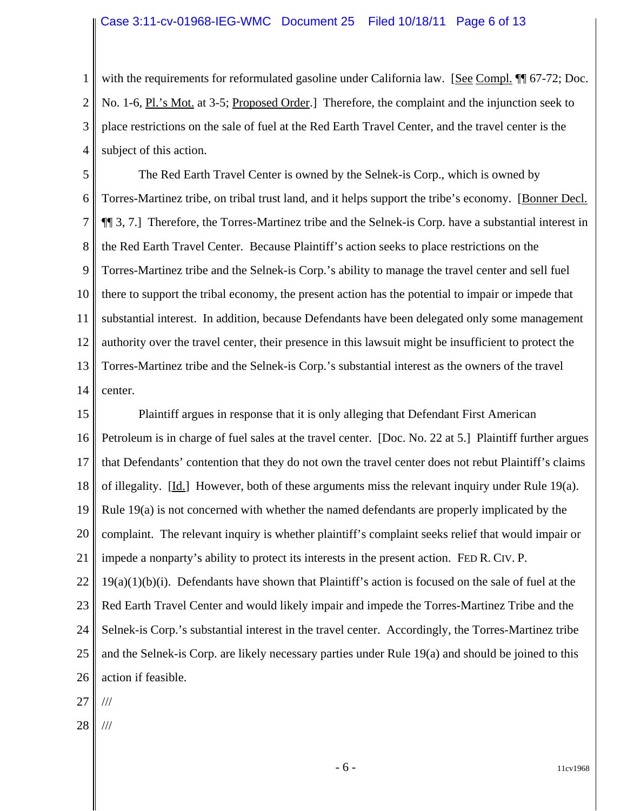1 2 3 4 with the requirements for reformulated gasoline under California law. [See Compl. ¶ 67-72; Doc. No. 1-6, Pl.'s Mot. at 3-5; Proposed Order.] Therefore, the complaint and the injunction seek to place restrictions on the sale of fuel at the Red Earth Travel Center, and the travel center is the subject of this action.

5 6 7 8 9 10 11 12 13 14 The Red Earth Travel Center is owned by the Selnek-is Corp., which is owned by Torres-Martinez tribe, on tribal trust land, and it helps support the tribe's economy. [Bonner Decl. ¶¶ 3, 7.] Therefore, the Torres-Martinez tribe and the Selnek-is Corp. have a substantial interest in the Red Earth Travel Center. Because Plaintiff's action seeks to place restrictions on the Torres-Martinez tribe and the Selnek-is Corp.'s ability to manage the travel center and sell fuel there to support the tribal economy, the present action has the potential to impair or impede that substantial interest. In addition, because Defendants have been delegated only some management authority over the travel center, their presence in this lawsuit might be insufficient to protect the Torres-Martinez tribe and the Selnek-is Corp.'s substantial interest as the owners of the travel center.

15 16 17 18 19 20 21 22 23 24 25 26 27 Plaintiff argues in response that it is only alleging that Defendant First American Petroleum is in charge of fuel sales at the travel center. [Doc. No. 22 at 5.] Plaintiff further argues that Defendants' contention that they do not own the travel center does not rebut Plaintiff's claims of illegality. [Id.] However, both of these arguments miss the relevant inquiry under Rule 19(a). Rule 19(a) is not concerned with whether the named defendants are properly implicated by the complaint. The relevant inquiry is whether plaintiff's complaint seeks relief that would impair or impede a nonparty's ability to protect its interests in the present action. FED R. CIV. P.  $19(a)(1)(b)(i)$ . Defendants have shown that Plaintiff's action is focused on the sale of fuel at the Red Earth Travel Center and would likely impair and impede the Torres-Martinez Tribe and the Selnek-is Corp.'s substantial interest in the travel center. Accordingly, the Torres-Martinez tribe and the Selnek-is Corp. are likely necessary parties under Rule 19(a) and should be joined to this action if feasible. ///

- 
- 28 ///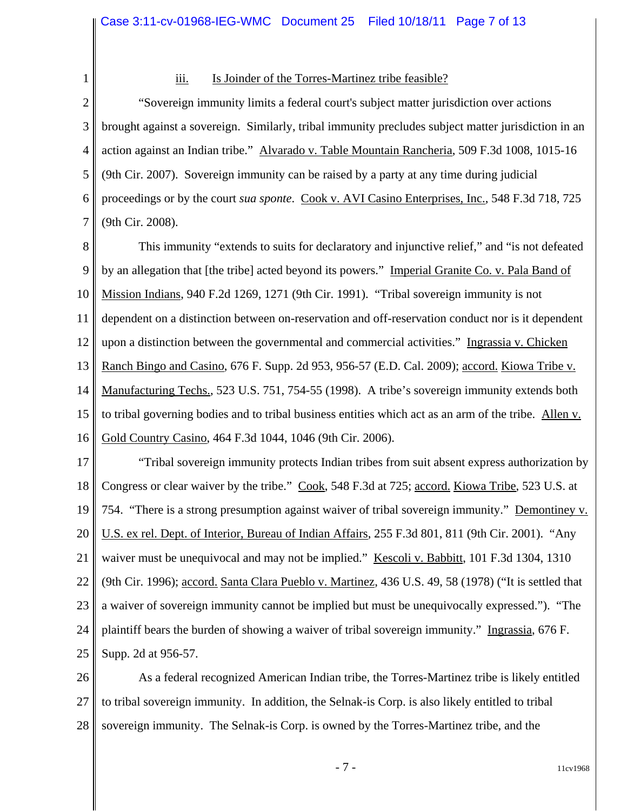2

1

## iii. Is Joinder of the Torres-Martinez tribe feasible?

3 4 5 6 7 "Sovereign immunity limits a federal court's subject matter jurisdiction over actions brought against a sovereign. Similarly, tribal immunity precludes subject matter jurisdiction in an action against an Indian tribe." Alvarado v. Table Mountain Rancheria, 509 F.3d 1008, 1015-16 (9th Cir. 2007). Sovereign immunity can be raised by a party at any time during judicial proceedings or by the court *sua sponte*. Cook v. AVI Casino Enterprises, Inc., 548 F.3d 718, 725 (9th Cir. 2008).

8 9 10 11 12 13 14 15 16 This immunity "extends to suits for declaratory and injunctive relief," and "is not defeated by an allegation that [the tribe] acted beyond its powers." Imperial Granite Co. v. Pala Band of Mission Indians, 940 F.2d 1269, 1271 (9th Cir. 1991). "Tribal sovereign immunity is not dependent on a distinction between on-reservation and off-reservation conduct nor is it dependent upon a distinction between the governmental and commercial activities." Ingrassia v. Chicken Ranch Bingo and Casino, 676 F. Supp. 2d 953, 956-57 (E.D. Cal. 2009); accord. Kiowa Tribe v. Manufacturing Techs., 523 U.S. 751, 754-55 (1998). A tribe's sovereign immunity extends both to tribal governing bodies and to tribal business entities which act as an arm of the tribe. Allen v. Gold Country Casino, 464 F.3d 1044, 1046 (9th Cir. 2006).

17 18 19 20 21 22 23 24 25 "Tribal sovereign immunity protects Indian tribes from suit absent express authorization by Congress or clear waiver by the tribe." Cook, 548 F.3d at 725; accord. Kiowa Tribe, 523 U.S. at 754. "There is a strong presumption against waiver of tribal sovereign immunity." Demontiney v. U.S. ex rel. Dept. of Interior, Bureau of Indian Affairs, 255 F.3d 801, 811 (9th Cir. 2001). "Any waiver must be unequivocal and may not be implied." Kescoli v. Babbitt, 101 F.3d 1304, 1310 (9th Cir. 1996); accord. Santa Clara Pueblo v. Martinez, 436 U.S. 49, 58 (1978) ("It is settled that a waiver of sovereign immunity cannot be implied but must be unequivocally expressed."). "The plaintiff bears the burden of showing a waiver of tribal sovereign immunity." Ingrassia, 676 F. Supp. 2d at 956-57.

26 27 28 As a federal recognized American Indian tribe, the Torres-Martinez tribe is likely entitled to tribal sovereign immunity. In addition, the Selnak-is Corp. is also likely entitled to tribal sovereign immunity. The Selnak-is Corp. is owned by the Torres-Martinez tribe, and the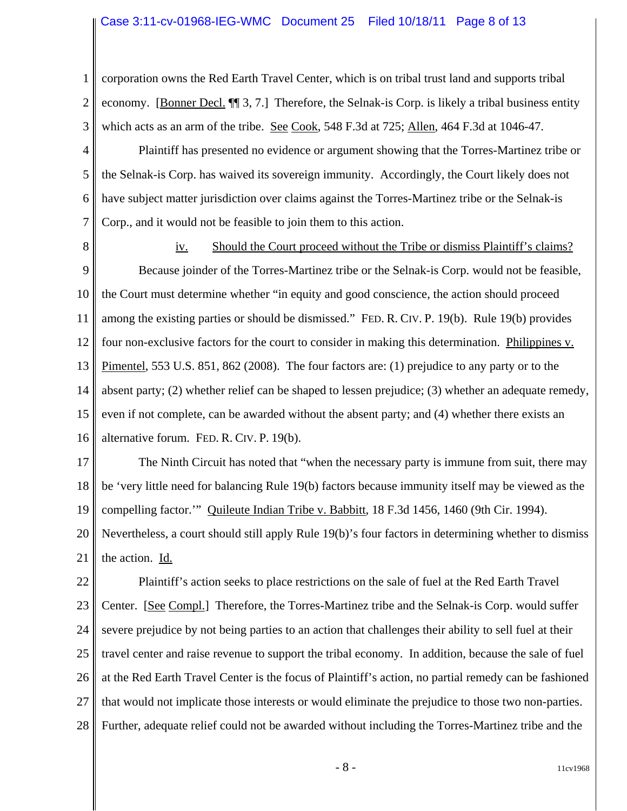#### Case 3:11-cv-01968-IEG-WMC Document 25 Filed 10/18/11 Page 8 of 13

1 2 3 corporation owns the Red Earth Travel Center, which is on tribal trust land and supports tribal economy. [Bonner Decl. ¶¶ 3, 7.] Therefore, the Selnak-is Corp. is likely a tribal business entity which acts as an arm of the tribe. See Cook, 548 F.3d at 725; Allen, 464 F.3d at 1046-47.

4 5 6 7 Plaintiff has presented no evidence or argument showing that the Torres-Martinez tribe or the Selnak-is Corp. has waived its sovereign immunity. Accordingly, the Court likely does not have subject matter jurisdiction over claims against the Torres-Martinez tribe or the Selnak-is Corp., and it would not be feasible to join them to this action.

8

9 10 11 12 13 14 15 16 iv. Should the Court proceed without the Tribe or dismiss Plaintiff's claims? Because joinder of the Torres-Martinez tribe or the Selnak-is Corp. would not be feasible, the Court must determine whether "in equity and good conscience, the action should proceed among the existing parties or should be dismissed." FED. R. CIV. P. 19(b). Rule 19(b) provides four non-exclusive factors for the court to consider in making this determination. Philippines v. Pimentel, 553 U.S. 851, 862 (2008). The four factors are: (1) prejudice to any party or to the absent party; (2) whether relief can be shaped to lessen prejudice; (3) whether an adequate remedy, even if not complete, can be awarded without the absent party; and (4) whether there exists an alternative forum. FED. R. CIV. P. 19(b).

17 18 19 20 21 The Ninth Circuit has noted that "when the necessary party is immune from suit, there may be 'very little need for balancing Rule 19(b) factors because immunity itself may be viewed as the compelling factor." Quileute Indian Tribe v. Babbitt, 18 F.3d 1456, 1460 (9th Cir. 1994). Nevertheless, a court should still apply Rule 19(b)'s four factors in determining whether to dismiss the action. Id.

22 23 24 25 26 27 28 Plaintiff's action seeks to place restrictions on the sale of fuel at the Red Earth Travel Center. [See Compl.] Therefore, the Torres-Martinez tribe and the Selnak-is Corp. would suffer severe prejudice by not being parties to an action that challenges their ability to sell fuel at their travel center and raise revenue to support the tribal economy. In addition, because the sale of fuel at the Red Earth Travel Center is the focus of Plaintiff's action, no partial remedy can be fashioned that would not implicate those interests or would eliminate the prejudice to those two non-parties. Further, adequate relief could not be awarded without including the Torres-Martinez tribe and the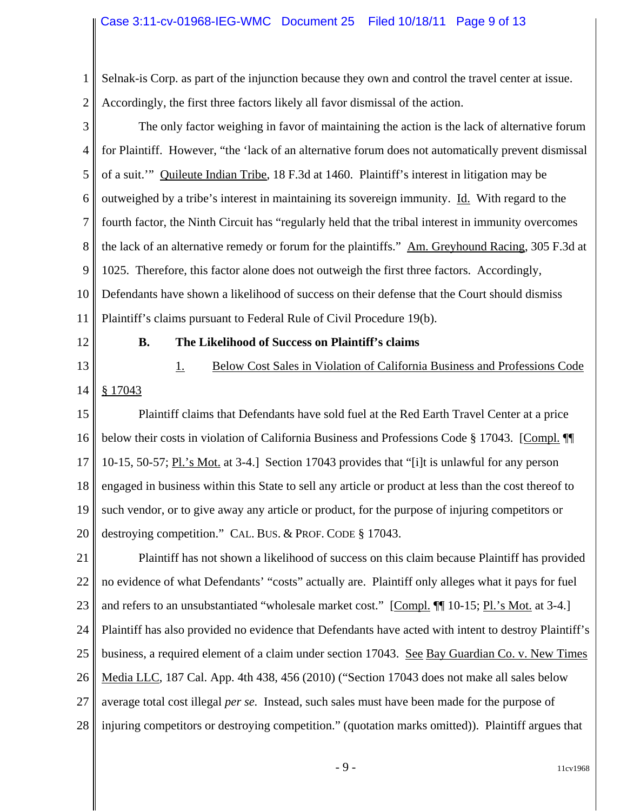1 2 Selnak-is Corp. as part of the injunction because they own and control the travel center at issue. Accordingly, the first three factors likely all favor dismissal of the action.

3 4 5 6 7 8 9 10 11 The only factor weighing in favor of maintaining the action is the lack of alternative forum for Plaintiff. However, "the 'lack of an alternative forum does not automatically prevent dismissal of a suit.'" Quileute Indian Tribe, 18 F.3d at 1460. Plaintiff's interest in litigation may be outweighed by a tribe's interest in maintaining its sovereign immunity. Id. With regard to the fourth factor, the Ninth Circuit has "regularly held that the tribal interest in immunity overcomes the lack of an alternative remedy or forum for the plaintiffs." Am. Greyhound Racing, 305 F.3d at 1025. Therefore, this factor alone does not outweigh the first three factors. Accordingly, Defendants have shown a likelihood of success on their defense that the Court should dismiss Plaintiff's claims pursuant to Federal Rule of Civil Procedure 19(b).

12 13

#### **B. The Likelihood of Success on Plaintiff's claims**

14 § 17043 1. Below Cost Sales in Violation of California Business and Professions Code

15 16 17 18 19 20 Plaintiff claims that Defendants have sold fuel at the Red Earth Travel Center at a price below their costs in violation of California Business and Professions Code § 17043. [Compl. ¶¶ 10-15, 50-57; Pl.'s Mot. at 3-4.] Section 17043 provides that "[i]t is unlawful for any person engaged in business within this State to sell any article or product at less than the cost thereof to such vendor, or to give away any article or product, for the purpose of injuring competitors or destroying competition." CAL. BUS. & PROF. CODE § 17043.

21 22 23 24 25 26 27 28 Plaintiff has not shown a likelihood of success on this claim because Plaintiff has provided no evidence of what Defendants' "costs" actually are. Plaintiff only alleges what it pays for fuel and refers to an unsubstantiated "wholesale market cost." [Compl. ¶ 10-15; Pl.'s Mot. at 3-4.] Plaintiff has also provided no evidence that Defendants have acted with intent to destroy Plaintiff's business, a required element of a claim under section 17043. See Bay Guardian Co. v. New Times Media LLC, 187 Cal. App. 4th 438, 456 (2010) ("Section 17043 does not make all sales below average total cost illegal *per se.* Instead, such sales must have been made for the purpose of injuring competitors or destroying competition." (quotation marks omitted)). Plaintiff argues that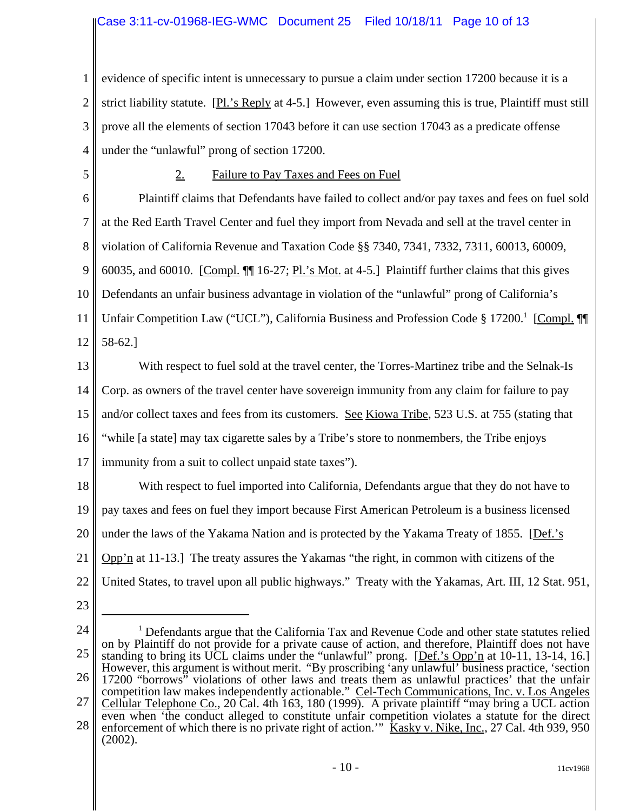1 2 3 4 evidence of specific intent is unnecessary to pursue a claim under section 17200 because it is a strict liability statute. [Pl.'s Reply at 4-5.] However, even assuming this is true, Plaintiff must still prove all the elements of section 17043 before it can use section 17043 as a predicate offense under the "unlawful" prong of section 17200.

5

## 2. Failure to Pay Taxes and Fees on Fuel

6 7 8 9 10 11 12 Plaintiff claims that Defendants have failed to collect and/or pay taxes and fees on fuel sold at the Red Earth Travel Center and fuel they import from Nevada and sell at the travel center in violation of California Revenue and Taxation Code §§ 7340, 7341, 7332, 7311, 60013, 60009, 60035, and 60010. [Compl. ¶¶ 16-27; Pl.'s Mot. at 4-5.] Plaintiff further claims that this gives Defendants an unfair business advantage in violation of the "unlawful" prong of California's Unfair Competition Law ("UCL"), California Business and Profession Code § 17200.<sup>1</sup> [Compl. 11] 58-62.]

13 14 15 16 17 With respect to fuel sold at the travel center, the Torres-Martinez tribe and the Selnak-Is Corp. as owners of the travel center have sovereign immunity from any claim for failure to pay and/or collect taxes and fees from its customers. See Kiowa Tribe, 523 U.S. at 755 (stating that "while [a state] may tax cigarette sales by a Tribe's store to nonmembers, the Tribe enjoys immunity from a suit to collect unpaid state taxes").

18 19 20 21 22 With respect to fuel imported into California, Defendants argue that they do not have to pay taxes and fees on fuel they import because First American Petroleum is a business licensed under the laws of the Yakama Nation and is protected by the Yakama Treaty of 1855. [Def.'s Opp'n at 11-13.] The treaty assures the Yakamas "the right, in common with citizens of the United States, to travel upon all public highways." Treaty with the Yakamas, Art. III, 12 Stat. 951,

- 23
- 24 25 26 27 28 <sup>1</sup> Defendants argue that the California Tax and Revenue Code and other state statutes relied on by Plaintiff do not provide for a private cause of action, and therefore, Plaintiff does not have standing to bring its UCL claims under the "unlawful" prong. [Def.'s Opp'n at 10-11, 13-14, 16.] However, this argument is without merit. "By proscribing 'any unlawful' business practice, 'section 17200 "borrows" violations of other laws and treats them as unlawful practices' that the unfair competition law makes independently actionable." Cel-Tech Communications, Inc. v. Los Angeles Cellular Telephone Co., 20 Cal. 4th 163, 180 (1999). A private plaintiff "may bring a UCL action even when 'the conduct alleged to constitute unfair competition violates a statute for the direct enforcement of which there is no private right of action." Kasky v. Nike, Inc., 27 Cal. 4th 939, 950 (2002).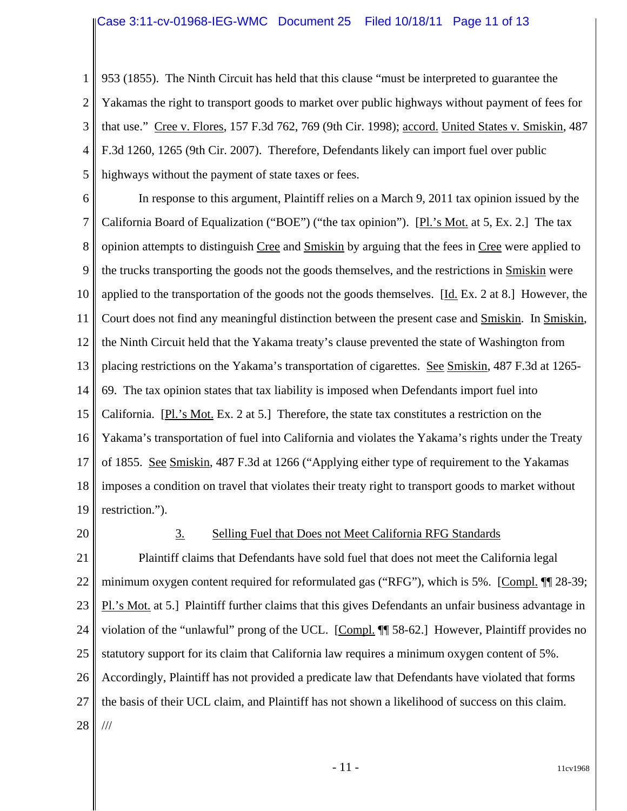1 2 3 4 5 953 (1855). The Ninth Circuit has held that this clause "must be interpreted to guarantee the Yakamas the right to transport goods to market over public highways without payment of fees for that use." Cree v. Flores, 157 F.3d 762, 769 (9th Cir. 1998); accord. United States v. Smiskin, 487 F.3d 1260, 1265 (9th Cir. 2007). Therefore, Defendants likely can import fuel over public highways without the payment of state taxes or fees.

6 7 8 9 10 11 12 13 14 15 16 17 18 19 In response to this argument, Plaintiff relies on a March 9, 2011 tax opinion issued by the California Board of Equalization ("BOE") ("the tax opinion"). [Pl.'s Mot. at 5, Ex. 2.] The tax opinion attempts to distinguish Cree and Smiskin by arguing that the fees in Cree were applied to the trucks transporting the goods not the goods themselves, and the restrictions in Smiskin were applied to the transportation of the goods not the goods themselves. [Id. Ex. 2 at 8.] However, the Court does not find any meaningful distinction between the present case and Smiskin. In Smiskin, the Ninth Circuit held that the Yakama treaty's clause prevented the state of Washington from placing restrictions on the Yakama's transportation of cigarettes. See Smiskin, 487 F.3d at 1265- 69. The tax opinion states that tax liability is imposed when Defendants import fuel into California. [Pl.'s Mot. Ex. 2 at 5.] Therefore, the state tax constitutes a restriction on the Yakama's transportation of fuel into California and violates the Yakama's rights under the Treaty of 1855. See Smiskin, 487 F.3d at 1266 ("Applying either type of requirement to the Yakamas imposes a condition on travel that violates their treaty right to transport goods to market without restriction.").

20

#### 3. Selling Fuel that Does not Meet California RFG Standards

21 22 23 24 25 26 27 28 Plaintiff claims that Defendants have sold fuel that does not meet the California legal minimum oxygen content required for reformulated gas ("RFG"), which is 5%. [Compl. ¶¶ 28-39; Pl.'s Mot. at 5.] Plaintiff further claims that this gives Defendants an unfair business advantage in violation of the "unlawful" prong of the UCL. [Compl. ¶¶ 58-62.] However, Plaintiff provides no statutory support for its claim that California law requires a minimum oxygen content of 5%. Accordingly, Plaintiff has not provided a predicate law that Defendants have violated that forms the basis of their UCL claim, and Plaintiff has not shown a likelihood of success on this claim. ///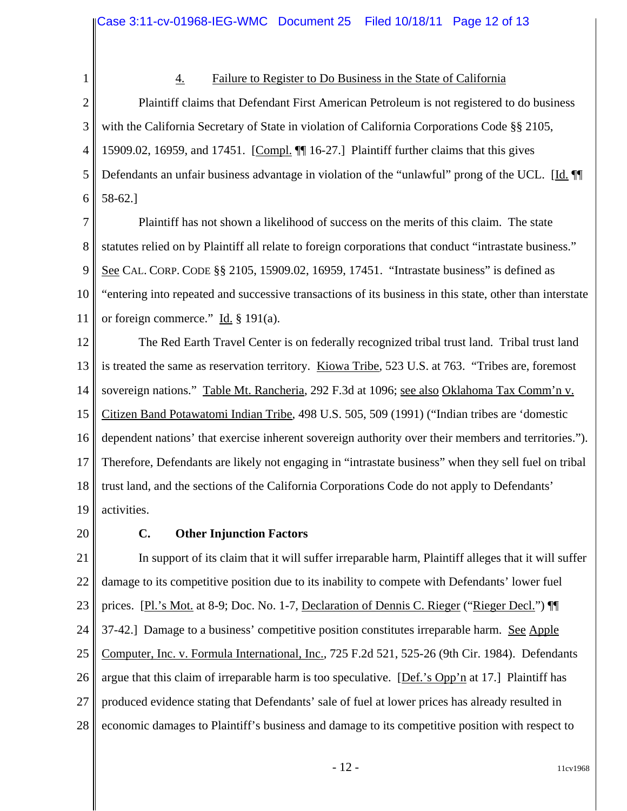1

## 4. Failure to Register to Do Business in the State of California

2 3 4 5 6 Plaintiff claims that Defendant First American Petroleum is not registered to do business with the California Secretary of State in violation of California Corporations Code §§ 2105, 15909.02, 16959, and 17451. [Compl. ¶¶ 16-27.] Plaintiff further claims that this gives Defendants an unfair business advantage in violation of the "unlawful" prong of the UCL. [Id. ¶ 58-62.]

7 8 9 10 11 Plaintiff has not shown a likelihood of success on the merits of this claim. The state statutes relied on by Plaintiff all relate to foreign corporations that conduct "intrastate business." See CAL. CORP. CODE §§ 2105, 15909.02, 16959, 17451. "Intrastate business" is defined as "entering into repeated and successive transactions of its business in this state, other than interstate or foreign commerce." Id. § 191(a).

12 13 14 15 16 17 18 19 The Red Earth Travel Center is on federally recognized tribal trust land. Tribal trust land is treated the same as reservation territory. Kiowa Tribe, 523 U.S. at 763. "Tribes are, foremost sovereign nations." Table Mt. Rancheria, 292 F.3d at 1096; see also Oklahoma Tax Comm'n v. Citizen Band Potawatomi Indian Tribe, 498 U.S. 505, 509 (1991) ("Indian tribes are 'domestic dependent nations' that exercise inherent sovereign authority over their members and territories."). Therefore, Defendants are likely not engaging in "intrastate business" when they sell fuel on tribal trust land, and the sections of the California Corporations Code do not apply to Defendants' activities.

20

# **C. Other Injunction Factors**

21 22 23 24 25 26 27 28 In support of its claim that it will suffer irreparable harm, Plaintiff alleges that it will suffer damage to its competitive position due to its inability to compete with Defendants' lower fuel prices. [Pl.'s Mot. at 8-9; Doc. No. 1-7, Declaration of Dennis C. Rieger ("Rieger Decl.") [[ 37-42.] Damage to a business' competitive position constitutes irreparable harm. See Apple Computer, Inc. v. Formula International, Inc., 725 F.2d 521, 525-26 (9th Cir. 1984). Defendants argue that this claim of irreparable harm is too speculative. [Def.'s Opp'n at 17.] Plaintiff has produced evidence stating that Defendants' sale of fuel at lower prices has already resulted in economic damages to Plaintiff's business and damage to its competitive position with respect to